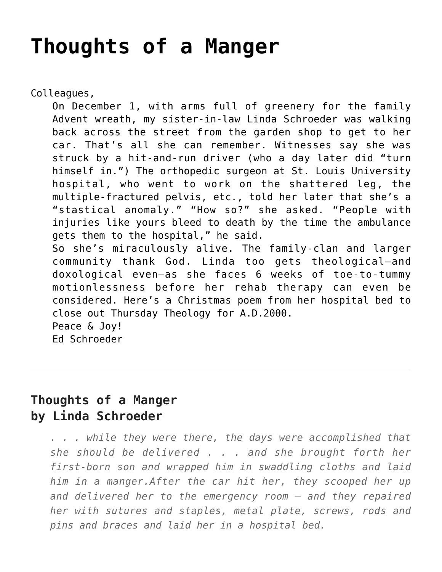## **[Thoughts of a Manger](https://crossings.org/thoughts-of-a-manger/)**

Colleagues,

On December 1, with arms full of greenery for the family Advent wreath, my sister-in-law Linda Schroeder was walking back across the street from the garden shop to get to her car. That's all she can remember. Witnesses say she was struck by a hit-and-run driver (who a day later did "turn himself in.") The orthopedic surgeon at St. Louis University hospital, who went to work on the shattered leg, the multiple-fractured pelvis, etc., told her later that she's a "stastical anomaly." "How so?" she asked. "People with injuries like yours bleed to death by the time the ambulance gets them to the hospital," he said. So she's miraculously alive. The family-clan and larger community thank God. Linda too gets theological–and doxological even–as she faces 6 weeks of toe-to-tummy motionlessness before her rehab therapy can even be considered. Here's a Christmas poem from her hospital bed to close out Thursday Theology for A.D.2000. Peace & Joy! Ed Schroeder

## **Thoughts of a Manger by Linda Schroeder**

*. . . while they were there, the days were accomplished that she should be delivered . . . and she brought forth her first-born son and wrapped him in swaddling cloths and laid him in a manger.After the car hit her, they scooped her up and delivered her to the emergency room — and they repaired her with sutures and staples, metal plate, screws, rods and pins and braces and laid her in a hospital bed.*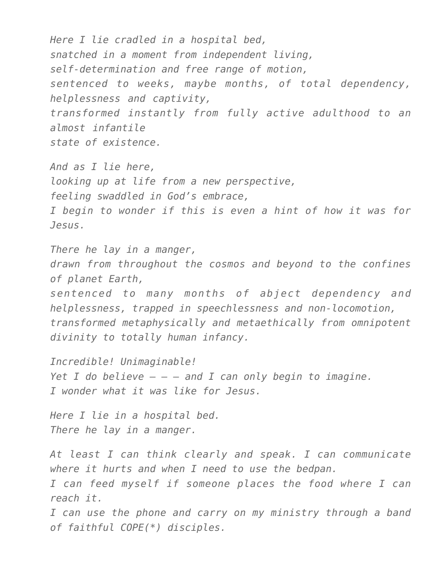*Here I lie cradled in a hospital bed, snatched in a moment from independent living, self-determination and free range of motion, sentenced to weeks, maybe months, of total dependency, helplessness and captivity, transformed instantly from fully active adulthood to an almost infantile state of existence.*

*And as I lie here, looking up at life from a new perspective, feeling swaddled in God's embrace, I begin to wonder if this is even a hint of how it was for Jesus.*

*There he lay in a manger, drawn from throughout the cosmos and beyond to the confines of planet Earth, sentenced to many months of abject dependency and helplessness, trapped in speechlessness and non-locomotion, transformed metaphysically and metaethically from omnipotent divinity to totally human infancy.*

*Incredible! Unimaginable! Yet I do believe – – – and I can only begin to imagine. I wonder what it was like for Jesus.*

*Here I lie in a hospital bed. There he lay in a manger.*

*At least I can think clearly and speak. I can communicate where it hurts and when I need to use the bedpan. I can feed myself if someone places the food where I can reach it.*

*I can use the phone and carry on my ministry through a band of faithful COPE(\*) disciples.*